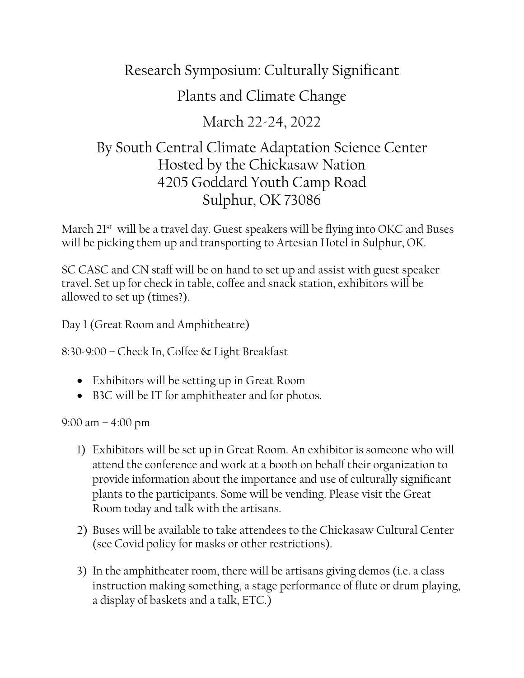## Research Symposium: Culturally Significant

# Plants and Climate Change

## March 22-24, 2022

## By South Central Climate Adaptation Science Center Hosted by the Chickasaw Nation 4205 Goddard Youth Camp Road Sulphur, OK 73086

March 21<sup>st</sup> will be a travel day. Guest speakers will be flying into OKC and Buses will be picking them up and transporting to Artesian Hotel in Sulphur, OK.

SC CASC and CN staff will be on hand to set up and assist with guest speaker travel. Set up for check in table, coffee and snack station, exhibitors will be allowed to set up (times?).

Day 1 (Great Room and Amphitheatre)

8:30-9:00 – Check In, Coffee & Light Breakfast

- Exhibitors will be setting up in Great Room
- B3C will be IT for amphitheater and for photos.

#### 9:00 am – 4:00 pm

- 1) Exhibitors will be set up in Great Room. An exhibitor is someone who will attend the conference and work at a booth on behalf their organization to provide information about the importance and use of culturally significant plants to the participants. Some will be vending. Please visit the Great Room today and talk with the artisans.
- 2) Buses will be available to take attendees to the Chickasaw Cultural Center (see Covid policy for masks or other restrictions).
- 3) In the amphitheater room, there will be artisans giving demos (i.e. a class instruction making something, a stage performance of flute or drum playing, a display of baskets and a talk, ETC.)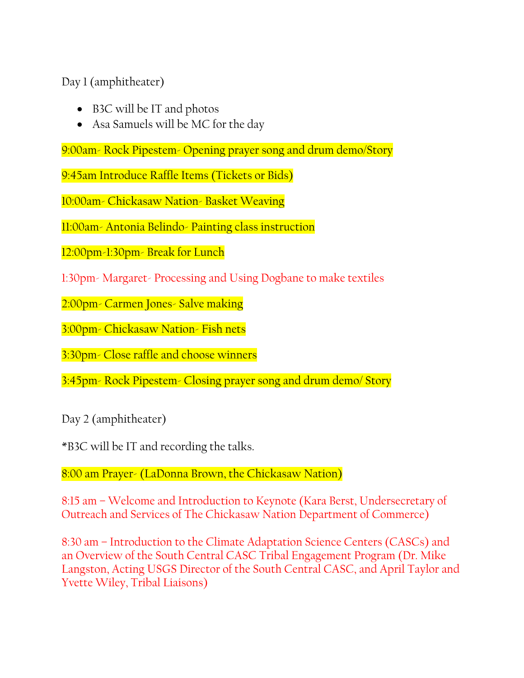Day 1 (amphitheater)

- B3C will be IT and photos
- Asa Samuels will be MC for the day

9:00am- Rock Pipestem- Opening prayer song and drum demo/Story

9:45am Introduce Raffle Items (Tickets or Bids)

10:00am- Chickasaw Nation- Basket Weaving

11:00am- Antonia Belindo- Painting class instruction

12:00pm-1:30pm- Break for Lunch

1:30pm- Margaret- Processing and Using Dogbane to make textiles

2:00pm- Carmen Jones- Salve making

3:00pm- Chickasaw Nation- Fish nets

3:30pm- Close raffle and choose winners

3:45pm- Rock Pipestem- Closing prayer song and drum demo/ Story

Day 2 (amphitheater)

\*B3C will be IT and recording the talks.

8:00 am Prayer- (LaDonna Brown, the Chickasaw Nation)

8:15 am – Welcome and Introduction to Keynote (Kara Berst, Undersecretary of Outreach and Services of The Chickasaw Nation Department of Commerce)

8:30 am – Introduction to the Climate Adaptation Science Centers (CASCs) and an Overview of the South Central CASC Tribal Engagement Program (Dr. Mike Langston, Acting USGS Director of the South Central CASC, and April Taylor and Yvette Wiley, Tribal Liaisons)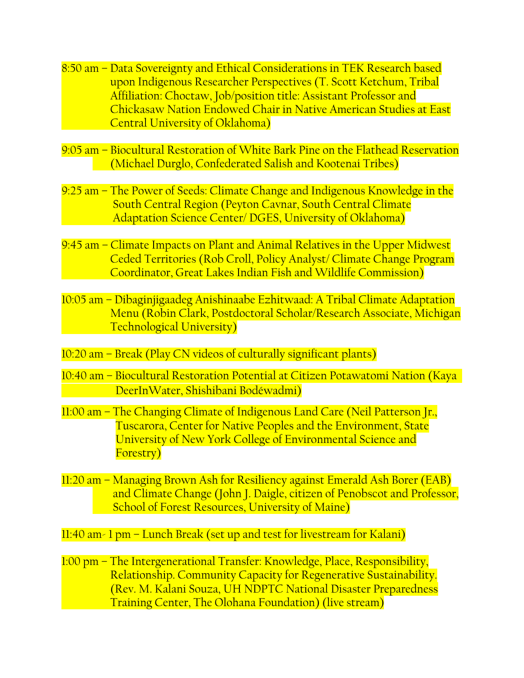- 8:50 am Data Sovereignty and Ethical Considerations in TEK Research based upon Indigenous Researcher Perspectives (T. Scott Ketchum, Tribal Affiliation: Choctaw, Job/position title: Assistant Professor and Chickasaw Nation Endowed Chair in Native American Studies at East Central University of Oklahoma)
- 9:05 am Biocultural Restoration of White Bark Pine on the Flathead Reservation (Michael Durglo, Confederated Salish and Kootenai Tribes)
- 9:25 am The Power of Seeds: Climate Change and Indigenous Knowledge in the South Central Region (Peyton Cavnar, South Central Climate Adaptation Science Center/ DGES, University of Oklahoma)
- 9:45 am Climate Impacts on Plant and Animal Relatives in the Upper Midwest Ceded Territories (Rob Croll, Policy Analyst/ Climate Change Program Coordinator, Great Lakes Indian Fish and Wildlife Commission)
- 10:05 am Dibaginjigaadeg Anishinaabe Ezhitwaad: A Tribal Climate Adaptation Menu (Robin Clark, Postdoctoral Scholar/Research Associate, Michigan Technological University)
- 10:20 am Break (Play CN videos of culturally significant plants)
- 10:40 am Biocultural Restoration Potential at Citizen Potawatomi Nation (Kaya DeerInWater, Shishibani Bodéwadmi)
- 11:00 am The Changing Climate of Indigenous Land Care (Neil Patterson Jr., Tuscarora, Center for Native Peoples and the Environment, State University of New York College of Environmental Science and Forestry)
- 11:20 am Managing Brown Ash for Resiliency against Emerald Ash Borer (EAB) and Climate Change (John J. Daigle, citizen of Penobscot and Professor, School of Forest Resources, University of Maine)

 $11:40$  am- 1 pm – Lunch Break (set up and test for livestream for Kalani)

1:00 pm – The Intergenerational Transfer: Knowledge, Place, Responsibility, Relationship. Community Capacity for Regenerative Sustainability. (Rev. M. Kalani Souza, UH NDPTC National Disaster Preparedness Training Center, The Olohana Foundation) (live stream)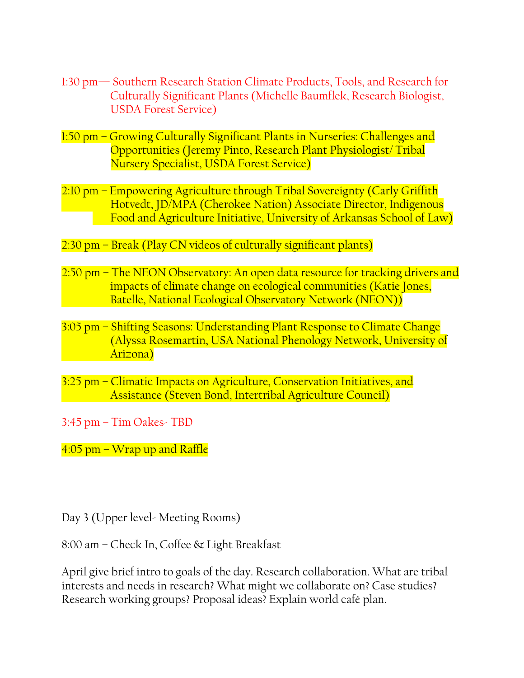- 1:30 pm— Southern Research Station Climate Products, Tools, and Research for Culturally Significant Plants (Michelle Baumflek, Research Biologist, USDA Forest Service)
- 1:50 pm Growing Culturally Significant Plants in Nurseries: Challenges and Opportunities (Jeremy Pinto, Research Plant Physiologist/ Tribal Nursery Specialist, USDA Forest Service)
- 2:10 pm Empowering Agriculture through Tribal Sovereignty (Carly Griffith Hotvedt, JD/MPA (Cherokee Nation) Associate Director, Indigenous Food and Agriculture Initiative, University of Arkansas School of Law)
- 2:30 pm Break (Play CN videos of culturally significant plants)
- 2:50 pm The NEON Observatory: An open data resource for tracking drivers and impacts of climate change on ecological communities (Katie Jones, Batelle, National Ecological Observatory Network (NEON))
- 3:05 pm Shifting Seasons: Understanding Plant Response to Climate Change (Alyssa Rosemartin, USA National Phenology Network, University of Arizona)
- 3:25 pm Climatic Impacts on Agriculture, Conservation Initiatives, and Assistance (Steven Bond, Intertribal Agriculture Council)
- 3:45 pm Tim Oakes- TBD

4:05 pm – Wrap up and Raffle

Day 3 (Upper level- Meeting Rooms)

8:00 am – Check In, Coffee & Light Breakfast

April give brief intro to goals of the day. Research collaboration. What are tribal interests and needs in research? What might we collaborate on? Case studies? Research working groups? Proposal ideas? Explain world café plan.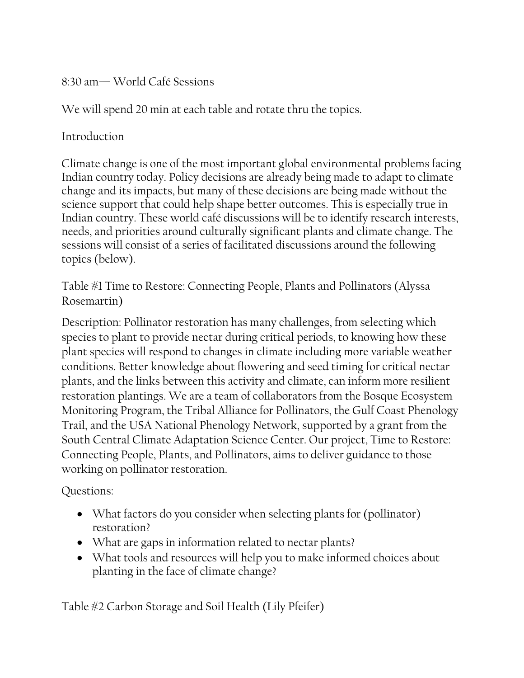8:30 am— World Café Sessions

We will spend 20 min at each table and rotate thru the topics.

Introduction

Climate change is one of the most important global environmental problems facing Indian country today. Policy decisions are already being made to adapt to climate change and its impacts, but many of these decisions are being made without the science support that could help shape better outcomes. This is especially true in Indian country. These world café discussions will be to identify research interests, needs, and priorities around culturally significant plants and climate change. The sessions will consist of a series of facilitated discussions around the following topics (below).

Table #1 Time to Restore: Connecting People, Plants and Pollinators (Alyssa Rosemartin)

Description: Pollinator restoration has many challenges, from selecting which species to plant to provide nectar during critical periods, to knowing how these plant species will respond to changes in climate including more variable weather conditions. Better knowledge about flowering and seed timing for critical nectar plants, and the links between this activity and climate, can inform more resilient restoration plantings. We are a team of collaborators from the Bosque Ecosystem Monitoring Program, the Tribal Alliance for Pollinators, the Gulf Coast Phenology Trail, and the USA National Phenology Network, supported by a grant from the South Central Climate Adaptation Science Center. Our project, Time to Restore: Connecting People, Plants, and Pollinators, aims to deliver guidance to those working on pollinator restoration.

Questions:

- What factors do you consider when selecting plants for (pollinator) restoration?
- What are gaps in information related to nectar plants?
- What tools and resources will help you to make informed choices about planting in the face of climate change?

Table #2 Carbon Storage and Soil Health (Lily Pfeifer)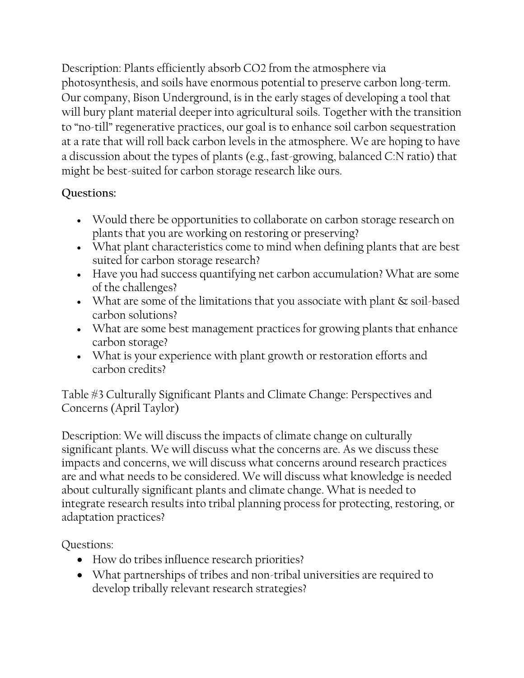Description: Plants efficiently absorb CO2 from the atmosphere via photosynthesis, and soils have enormous potential to preserve carbon long-term. Our company, Bison Underground, is in the early stages of developing a tool that will bury plant material deeper into agricultural soils. Together with the transition to "no-till" regenerative practices, our goal is to enhance soil carbon sequestration at a rate that will roll back carbon levels in the atmosphere. We are hoping to have a discussion about the types of plants (e.g., fast-growing, balanced C:N ratio) that might be best-suited for carbon storage research like ours.

#### **Questions:**

- Would there be opportunities to collaborate on carbon storage research on plants that you are working on restoring or preserving?
- What plant characteristics come to mind when defining plants that are best suited for carbon storage research?
- Have you had success quantifying net carbon accumulation? What are some of the challenges?
- What are some of the limitations that you associate with plant  $\&$  soil-based carbon solutions?
- What are some best management practices for growing plants that enhance carbon storage?
- What is your experience with plant growth or restoration efforts and carbon credits?

Table #3 Culturally Significant Plants and Climate Change: Perspectives and Concerns (April Taylor)

Description: We will discuss the impacts of climate change on culturally significant plants. We will discuss what the concerns are. As we discuss these impacts and concerns, we will discuss what concerns around research practices are and what needs to be considered. We will discuss what knowledge is needed about culturally significant plants and climate change. What is needed to integrate research results into tribal planning process for protecting, restoring, or adaptation practices?

Questions:

- How do tribes influence research priorities?
- What partnerships of tribes and non-tribal universities are required to develop tribally relevant research strategies?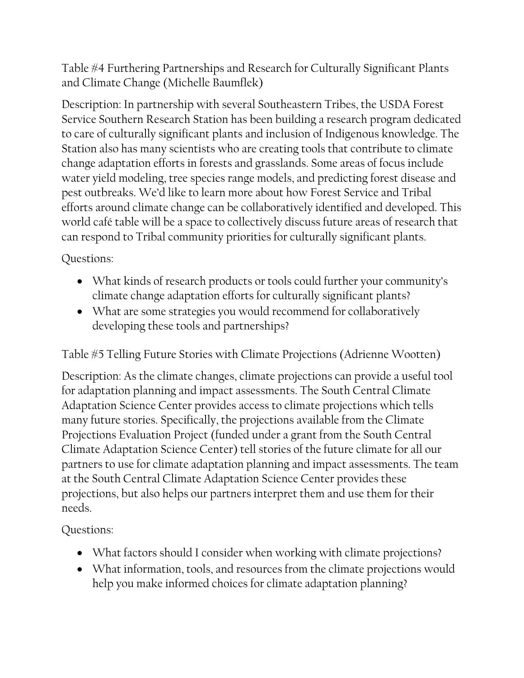Table #4 Furthering Partnerships and Research for Culturally Significant Plants and Climate Change (Michelle Baumflek)

Description: In partnership with several Southeastern Tribes, the USDA Forest Service Southern Research Station has been building a research program dedicated to care of culturally significant plants and inclusion of Indigenous knowledge. The Station also has many scientists who are creating tools that contribute to climate change adaptation efforts in forests and grasslands. Some areas of focus include water yield modeling, tree species range models, and predicting forest disease and pest outbreaks. We'd like to learn more about how Forest Service and Tribal efforts around climate change can be collaboratively identified and developed. This world café table will be a space to collectively discuss future areas of research that can respond to Tribal community priorities for culturally significant plants.

Questions:

- What kinds of research products or tools could further your community's climate change adaptation efforts for culturally significant plants?
- What are some strategies you would recommend for collaboratively developing these tools and partnerships?

Table #5 Telling Future Stories with Climate Projections (Adrienne Wootten)

Description: As the climate changes, climate projections can provide a useful tool for adaptation planning and impact assessments. The South Central Climate Adaptation Science Center provides access to climate projections which tells many future stories. Specifically, the projections available from the Climate Projections Evaluation Project (funded under a grant from the South Central Climate Adaptation Science Center) tell stories of the future climate for all our partners to use for climate adaptation planning and impact assessments. The team at the South Central Climate Adaptation Science Center provides these projections, but also helps our partners interpret them and use them for their needs.

Questions:

- What factors should I consider when working with climate projections?
- What information, tools, and resources from the climate projections would help you make informed choices for climate adaptation planning?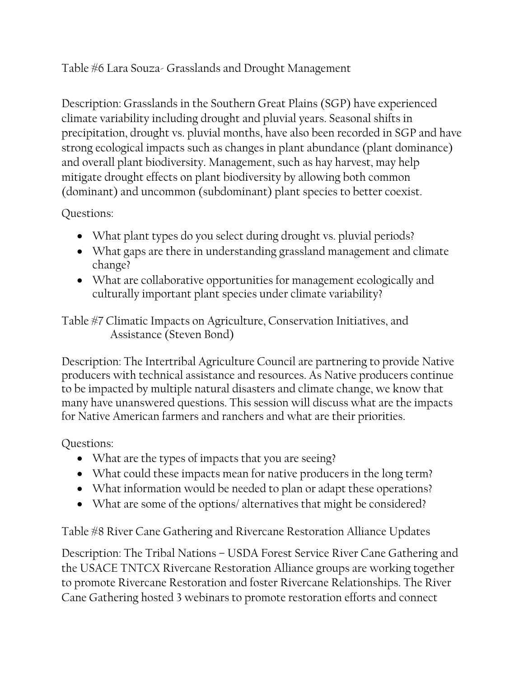### Table #6 Lara Souza- Grasslands and Drought Management

Description: Grasslands in the Southern Great Plains (SGP) have experienced climate variability including drought and pluvial years. Seasonal shifts in precipitation, drought vs. pluvial months, have also been recorded in SGP and have strong ecological impacts such as changes in plant abundance (plant dominance) and overall plant biodiversity. Management, such as hay harvest, may help mitigate drought effects on plant biodiversity by allowing both common (dominant) and uncommon (subdominant) plant species to better coexist.

#### Questions:

- What plant types do you select during drought vs. pluvial periods?
- What gaps are there in understanding grassland management and climate change?
- What are collaborative opportunities for management ecologically and culturally important plant species under climate variability?

Table #7 Climatic Impacts on Agriculture, Conservation Initiatives, and Assistance (Steven Bond)

Description: The Intertribal Agriculture Council are partnering to provide Native producers with technical assistance and resources. As Native producers continue to be impacted by multiple natural disasters and climate change, we know that many have unanswered questions. This session will discuss what are the impacts for Native American farmers and ranchers and what are their priorities.

#### Questions:

- What are the types of impacts that you are seeing?
- What could these impacts mean for native producers in the long term?
- What information would be needed to plan or adapt these operations?
- What are some of the options/ alternatives that might be considered?

Table #8 River Cane Gathering and Rivercane Restoration Alliance Updates

Description: The Tribal Nations – USDA Forest Service River Cane Gathering and the USACE TNTCX Rivercane Restoration Alliance groups are working together to promote Rivercane Restoration and foster Rivercane Relationships. The River Cane Gathering hosted 3 webinars to promote restoration efforts and connect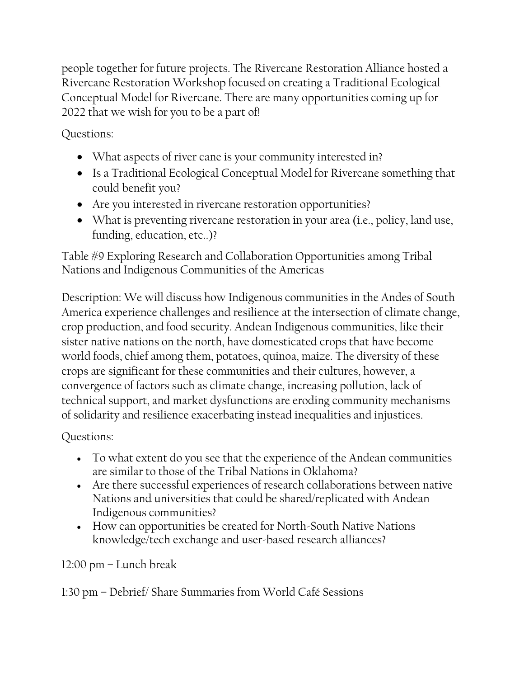people together for future projects. The Rivercane Restoration Alliance hosted a Rivercane Restoration Workshop focused on creating a Traditional Ecological Conceptual Model for Rivercane. There are many opportunities coming up for 2022 that we wish for you to be a part of!

Questions:

- What aspects of river cane is your community interested in?
- Is a Traditional Ecological Conceptual Model for Rivercane something that could benefit you?
- Are you interested in rivercane restoration opportunities?
- What is preventing rivercane restoration in your area (i.e., policy, land use, funding, education, etc..)?

Table #9 Exploring Research and Collaboration Opportunities among Tribal Nations and Indigenous Communities of the Americas

Description: We will discuss how Indigenous communities in the Andes of South America experience challenges and resilience at the intersection of climate change, crop production, and food security. Andean Indigenous communities, like their sister native nations on the north, have domesticated crops that have become world foods, chief among them, potatoes, quinoa, maize. The diversity of these crops are significant for these communities and their cultures, however, a convergence of factors such as climate change, increasing pollution, lack of technical support, and market dysfunctions are eroding community mechanisms of solidarity and resilience exacerbating instead inequalities and injustices.

Questions:

- To what extent do you see that the experience of the Andean communities are similar to those of the Tribal Nations in Oklahoma?
- Are there successful experiences of research collaborations between native Nations and universities that could be shared/replicated with Andean Indigenous communities?
- How can opportunities be created for North-South Native Nations knowledge/tech exchange and user-based research alliances?

12:00 pm – Lunch break

1:30 pm – Debrief/ Share Summaries from World Café Sessions